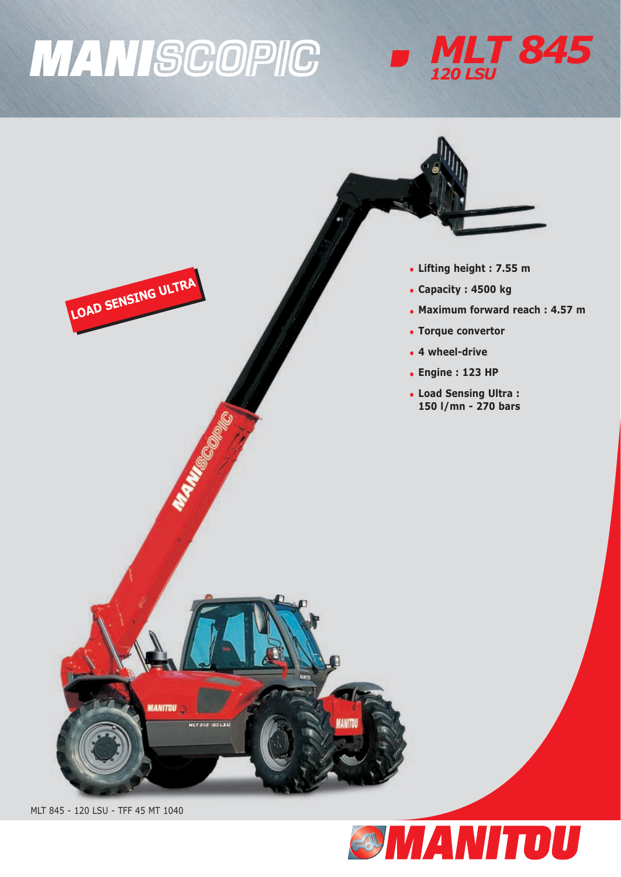# **MANISCOPIC**





MLT 845 - 120 LSU - TFF 45 MT 1040